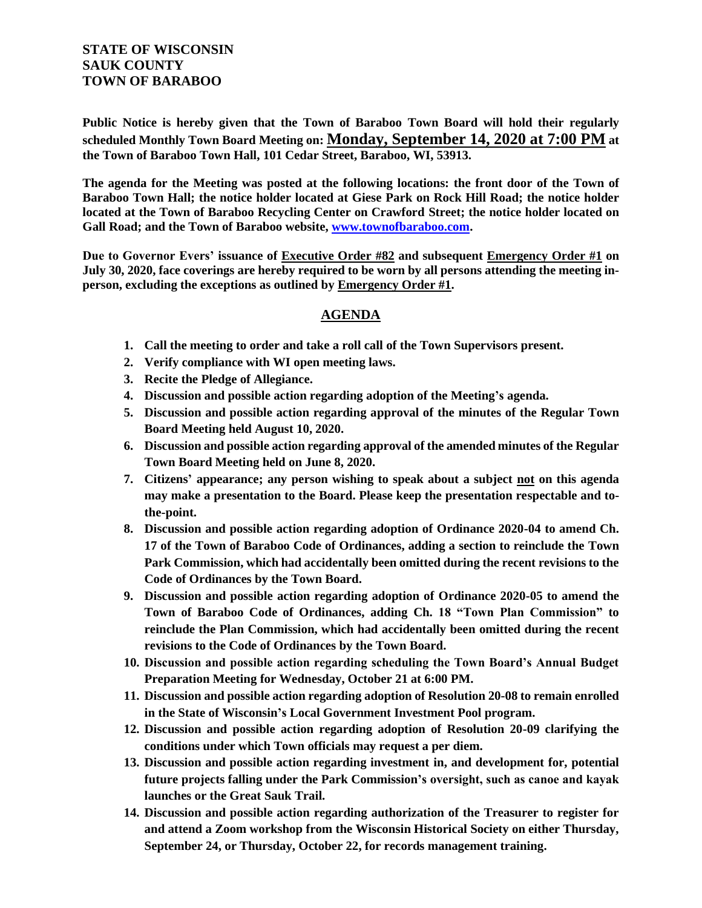## **STATE OF WISCONSIN SAUK COUNTY TOWN OF BARABOO**

**Public Notice is hereby given that the Town of Baraboo Town Board will hold their regularly scheduled Monthly Town Board Meeting on: Monday, September 14, 2020 at 7:00 PM at the Town of Baraboo Town Hall, 101 Cedar Street, Baraboo, WI, 53913.**

**The agenda for the Meeting was posted at the following locations: the front door of the Town of Baraboo Town Hall; the notice holder located at Giese Park on Rock Hill Road; the notice holder located at the Town of Baraboo Recycling Center on Crawford Street; the notice holder located on Gall Road; and the Town of Baraboo website, www.townofbaraboo.com.**

**Due to Governor Evers' issuance of Executive Order #82 and subsequent Emergency Order #1 on July 30, 2020, face coverings are hereby required to be worn by all persons attending the meeting inperson, excluding the exceptions as outlined by Emergency Order #1.**

## **AGENDA**

- **1. Call the meeting to order and take a roll call of the Town Supervisors present.**
- **2. Verify compliance with WI open meeting laws.**
- **3. Recite the Pledge of Allegiance.**
- **4. Discussion and possible action regarding adoption of the Meeting's agenda.**
- **5. Discussion and possible action regarding approval of the minutes of the Regular Town Board Meeting held August 10, 2020.**
- **6. Discussion and possible action regarding approval of the amended minutes of the Regular Town Board Meeting held on June 8, 2020.**
- **7. Citizens' appearance; any person wishing to speak about a subject not on this agenda may make a presentation to the Board. Please keep the presentation respectable and tothe-point.**
- **8. Discussion and possible action regarding adoption of Ordinance 2020-04 to amend Ch. 17 of the Town of Baraboo Code of Ordinances, adding a section to reinclude the Town Park Commission, which had accidentally been omitted during the recent revisions to the Code of Ordinances by the Town Board.**
- **9. Discussion and possible action regarding adoption of Ordinance 2020-05 to amend the Town of Baraboo Code of Ordinances, adding Ch. 18 "Town Plan Commission" to reinclude the Plan Commission, which had accidentally been omitted during the recent revisions to the Code of Ordinances by the Town Board.**
- **10. Discussion and possible action regarding scheduling the Town Board's Annual Budget Preparation Meeting for Wednesday, October 21 at 6:00 PM.**
- **11. Discussion and possible action regarding adoption of Resolution 20-08 to remain enrolled in the State of Wisconsin's Local Government Investment Pool program.**
- **12. Discussion and possible action regarding adoption of Resolution 20-09 clarifying the conditions under which Town officials may request a per diem.**
- **13. Discussion and possible action regarding investment in, and development for, potential future projects falling under the Park Commission's oversight, such as canoe and kayak launches or the Great Sauk Trail.**
- **14. Discussion and possible action regarding authorization of the Treasurer to register for and attend a Zoom workshop from the Wisconsin Historical Society on either Thursday, September 24, or Thursday, October 22, for records management training.**